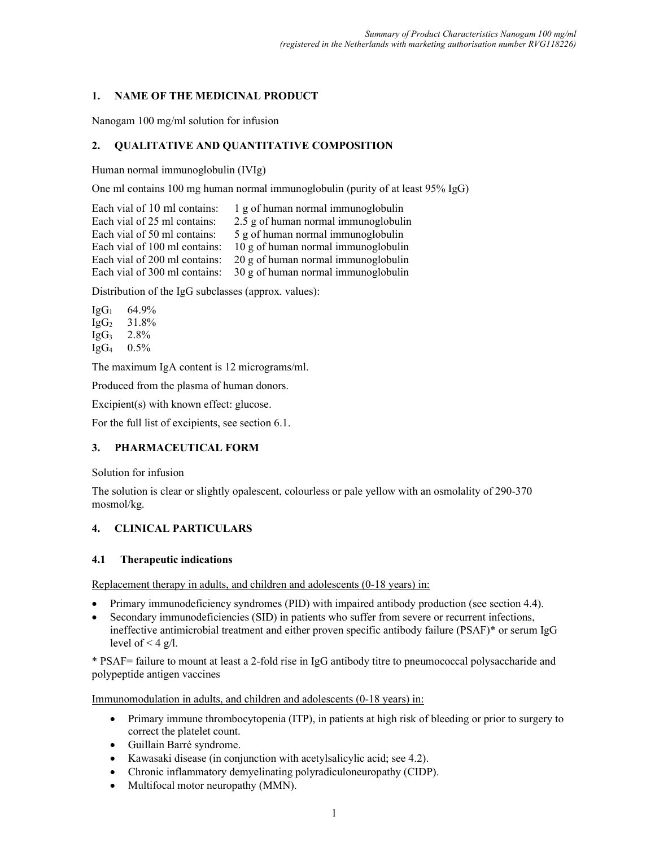### 1. NAME OF THE MEDICINAL PRODUCT

Nanogam 100 mg/ml solution for infusion

# 2. QUALITATIVE AND QUANTITATIVE COMPOSITION

Human normal immunoglobulin (IVIg)

One ml contains 100 mg human normal immunoglobulin (purity of at least 95% IgG)

Each vial of 10 ml contains: 1 g of human normal immunoglobulin Each vial of 25 ml contains: 2.5 g of human normal immunoglobulin Each vial of 50 ml contains: 5 g of human normal immunoglobulin Each vial of 100 ml contains: 10 g of human normal immunoglobulin Each vial of 200 ml contains: 20 g of human normal immunoglobulin Each vial of 300 ml contains: 30 g of human normal immunoglobulin

Distribution of the IgG subclasses (approx. values):

 $IgG_1$  64.9%  $IgG_2$  31.8%  $IgG_3$  2.8% IgG4 0.5%

The maximum IgA content is 12 micrograms/ml.

Produced from the plasma of human donors.

Excipient(s) with known effect: glucose.

For the full list of excipients, see section 6.1.

# 3. PHARMACEUTICAL FORM

Solution for infusion

The solution is clear or slightly opalescent, colourless or pale yellow with an osmolality of 290-370 mosmol/kg.

# 4. CLINICAL PARTICULARS

#### 4.1 Therapeutic indications

Replacement therapy in adults, and children and adolescents (0-18 years) in:

- Primary immunodeficiency syndromes (PID) with impaired antibody production (see section 4.4).
- Secondary immunodeficiencies (SID) in patients who suffer from severe or recurrent infections, ineffective antimicrobial treatment and either proven specific antibody failure (PSAF)\* or serum IgG level of  $\leq 4$  g/l.

\* PSAF= failure to mount at least a 2-fold rise in IgG antibody titre to pneumococcal polysaccharide and polypeptide antigen vaccines

Immunomodulation in adults, and children and adolescents (0-18 years) in:

- Primary immune thrombocytopenia (ITP), in patients at high risk of bleeding or prior to surgery to correct the platelet count.
- Guillain Barré syndrome.
- Kawasaki disease (in conjunction with acetylsalicylic acid; see 4.2).
- Chronic inflammatory demyelinating polyradiculoneuropathy (CIDP).
- Multifocal motor neuropathy (MMN).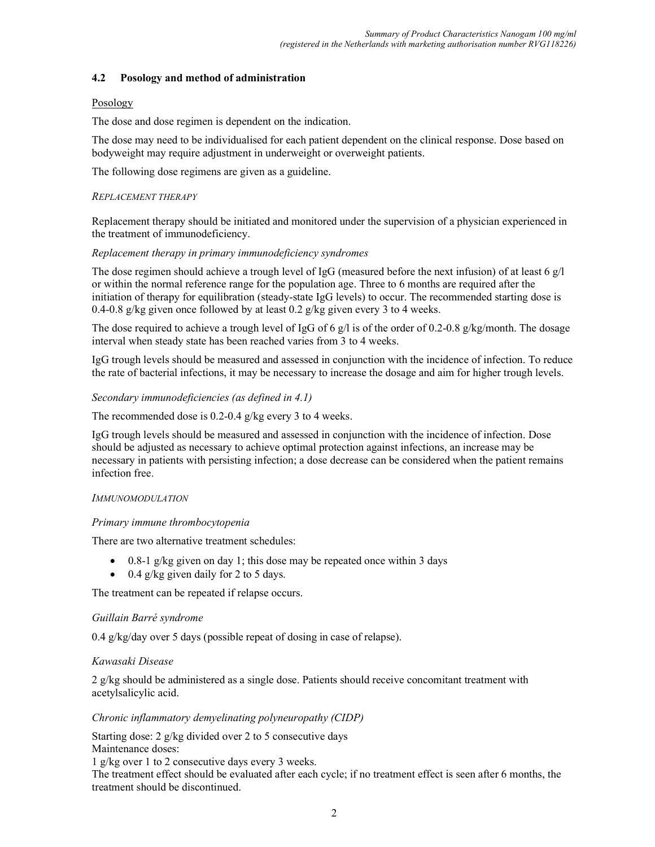### 4.2 Posology and method of administration

### Posology

The dose and dose regimen is dependent on the indication.

The dose may need to be individualised for each patient dependent on the clinical response. Dose based on bodyweight may require adjustment in underweight or overweight patients.

The following dose regimens are given as a guideline.

### REPLACEMENT THERAPY

Replacement therapy should be initiated and monitored under the supervision of a physician experienced in the treatment of immunodeficiency.

### Replacement therapy in primary immunodeficiency syndromes

The dose regimen should achieve a trough level of IgG (measured before the next infusion) of at least 6  $g/$ or within the normal reference range for the population age. Three to 6 months are required after the initiation of therapy for equilibration (steady-state IgG levels) to occur. The recommended starting dose is 0.4-0.8 g/kg given once followed by at least 0.2 g/kg given every 3 to 4 weeks.

The dose required to achieve a trough level of IgG of 6 g/l is of the order of 0.2-0.8 g/kg/month. The dosage interval when steady state has been reached varies from 3 to 4 weeks.

IgG trough levels should be measured and assessed in conjunction with the incidence of infection. To reduce the rate of bacterial infections, it may be necessary to increase the dosage and aim for higher trough levels.

### Secondary immunodeficiencies (as defined in 4.1)

The recommended dose is 0.2-0.4 g/kg every 3 to 4 weeks.

IgG trough levels should be measured and assessed in conjunction with the incidence of infection. Dose should be adjusted as necessary to achieve optimal protection against infections, an increase may be necessary in patients with persisting infection; a dose decrease can be considered when the patient remains infection free.

# IMMUNOMODULATION

#### Primary immune thrombocytopenia

There are two alternative treatment schedules:

- 0.8-1 g/kg given on day 1; this dose may be repeated once within 3 days
- $\bullet$  0.4 g/kg given daily for 2 to 5 days.

The treatment can be repeated if relapse occurs.

#### Guillain Barré syndrome

0.4 g/kg/day over 5 days (possible repeat of dosing in case of relapse).

# Kawasaki Disease

2 g/kg should be administered as a single dose. Patients should receive concomitant treatment with acetylsalicylic acid.

# Chronic inflammatory demyelinating polyneuropathy (CIDP)

Starting dose: 2 g/kg divided over 2 to 5 consecutive days Maintenance doses:

1 g/kg over 1 to 2 consecutive days every 3 weeks.

The treatment effect should be evaluated after each cycle; if no treatment effect is seen after 6 months, the treatment should be discontinued.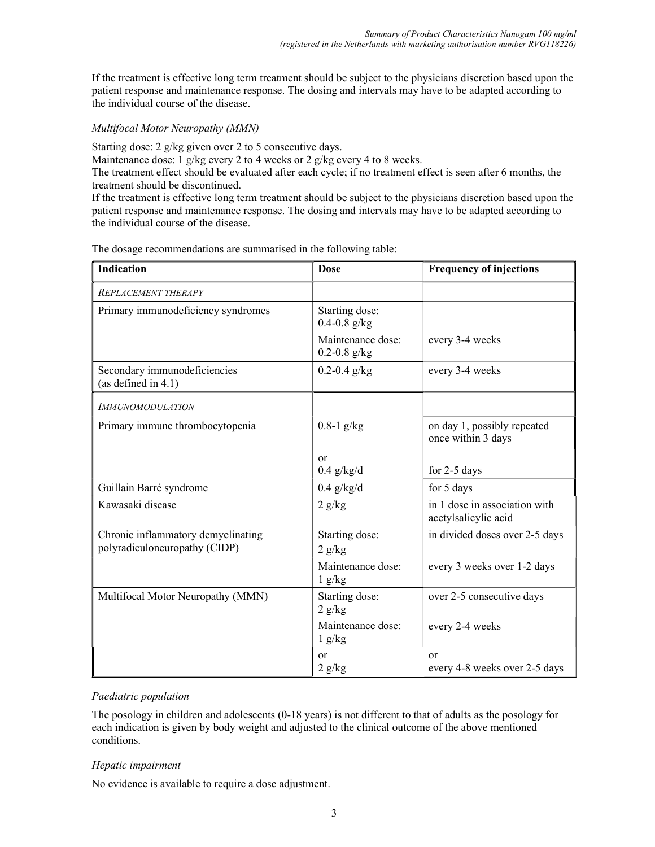If the treatment is effective long term treatment should be subject to the physicians discretion based upon the patient response and maintenance response. The dosing and intervals may have to be adapted according to the individual course of the disease.

### Multifocal Motor Neuropathy (MMN)

Starting dose: 2 g/kg given over 2 to 5 consecutive days.

Maintenance dose: 1 g/kg every 2 to 4 weeks or 2 g/kg every 4 to 8 weeks.

The treatment effect should be evaluated after each cycle; if no treatment effect is seen after 6 months, the treatment should be discontinued.

If the treatment is effective long term treatment should be subject to the physicians discretion based upon the patient response and maintenance response. The dosing and intervals may have to be adapted according to the individual course of the disease.

The dosage recommendations are summarised in the following table:

| <b>Indication</b>                                                   | <b>Dose</b>                           | <b>Frequency of injections</b>                        |
|---------------------------------------------------------------------|---------------------------------------|-------------------------------------------------------|
| <b>REPLACEMENT THERAPY</b>                                          |                                       |                                                       |
| Primary immunodeficiency syndromes                                  | Starting dose:<br>$0.4 - 0.8$ g/kg    |                                                       |
|                                                                     | Maintenance dose:<br>$0.2 - 0.8$ g/kg | every 3-4 weeks                                       |
| Secondary immunodeficiencies<br>(as defined in 4.1)                 | $0.2 - 0.4$ g/kg                      | every 3-4 weeks                                       |
| <b>IMMUNOMODULATION</b>                                             |                                       |                                                       |
| Primary immune thrombocytopenia                                     | $0.8-1$ g/kg                          | on day 1, possibly repeated<br>once within 3 days     |
|                                                                     | or<br>$0.4$ g/kg/d                    | for $2-5$ days                                        |
| Guillain Barré syndrome                                             | $0.4$ g/kg/d                          | for 5 days                                            |
| Kawasaki disease                                                    | 2 g/kg                                | in 1 dose in association with<br>acetylsalicylic acid |
| Chronic inflammatory demyelinating<br>polyradiculoneuropathy (CIDP) | Starting dose:<br>2 g/kg              | in divided doses over 2-5 days                        |
|                                                                     | Maintenance dose:<br>1 g/kg           | every 3 weeks over 1-2 days                           |
| Multifocal Motor Neuropathy (MMN)                                   | Starting dose:<br>2 g/kg              | over 2-5 consecutive days                             |
|                                                                     | Maintenance dose:<br>1 g/kg           | every 2-4 weeks                                       |
|                                                                     | <b>or</b><br>2 g/kg                   | or<br>every 4-8 weeks over 2-5 days                   |

# Paediatric population

The posology in children and adolescents (0-18 years) is not different to that of adults as the posology for each indication is given by body weight and adjusted to the clinical outcome of the above mentioned conditions.

#### Hepatic impairment

No evidence is available to require a dose adjustment.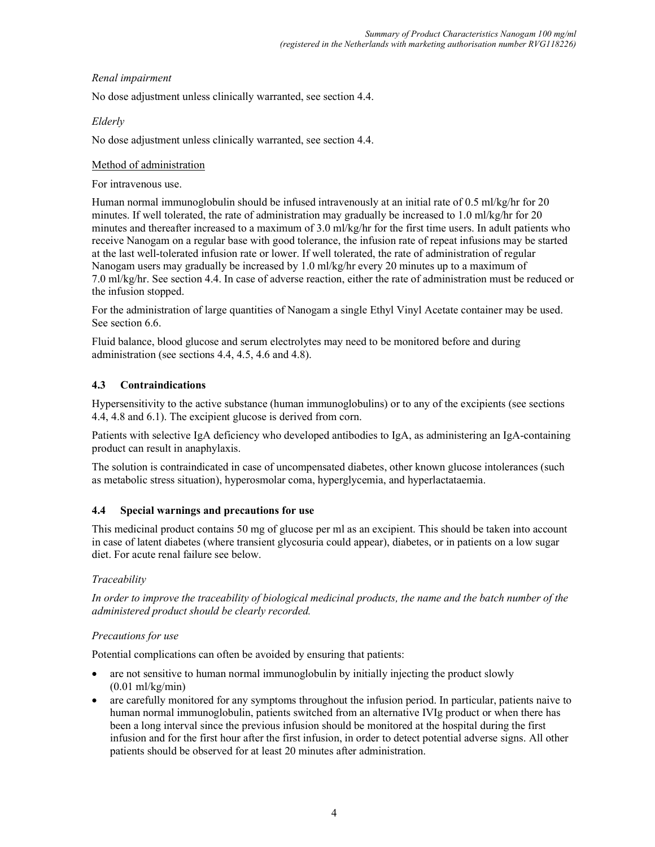# Renal impairment

No dose adjustment unless clinically warranted, see section 4.4.

# Elderly

No dose adjustment unless clinically warranted, see section 4.4.

# Method of administration

For intravenous use.

Human normal immunoglobulin should be infused intravenously at an initial rate of 0.5 ml/kg/hr for 20 minutes. If well tolerated, the rate of administration may gradually be increased to 1.0 ml/kg/hr for 20 minutes and thereafter increased to a maximum of 3.0 ml/kg/hr for the first time users. In adult patients who receive Nanogam on a regular base with good tolerance, the infusion rate of repeat infusions may be started at the last well-tolerated infusion rate or lower. If well tolerated, the rate of administration of regular Nanogam users may gradually be increased by 1.0 ml/kg/hr every 20 minutes up to a maximum of 7.0 ml/kg/hr. See section 4.4. In case of adverse reaction, either the rate of administration must be reduced or the infusion stopped.

For the administration of large quantities of Nanogam a single Ethyl Vinyl Acetate container may be used. See section 6.6.

Fluid balance, blood glucose and serum electrolytes may need to be monitored before and during administration (see sections 4.4, 4.5, 4.6 and 4.8).

# 4.3 Contraindications

Hypersensitivity to the active substance (human immunoglobulins) or to any of the excipients (see sections 4.4, 4.8 and 6.1). The excipient glucose is derived from corn.

Patients with selective IgA deficiency who developed antibodies to IgA, as administering an IgA-containing product can result in anaphylaxis.

The solution is contraindicated in case of uncompensated diabetes, other known glucose intolerances (such as metabolic stress situation), hyperosmolar coma, hyperglycemia, and hyperlactataemia.

# 4.4 Special warnings and precautions for use

This medicinal product contains 50 mg of glucose per ml as an excipient. This should be taken into account in case of latent diabetes (where transient glycosuria could appear), diabetes, or in patients on a low sugar diet. For acute renal failure see below.

# Traceability

In order to improve the traceability of biological medicinal products, the name and the batch number of the administered product should be clearly recorded.

# Precautions for use

Potential complications can often be avoided by ensuring that patients:

- are not sensitive to human normal immunoglobulin by initially injecting the product slowly (0.01 ml/kg/min)
- are carefully monitored for any symptoms throughout the infusion period. In particular, patients naive to human normal immunoglobulin, patients switched from an alternative IVIg product or when there has been a long interval since the previous infusion should be monitored at the hospital during the first infusion and for the first hour after the first infusion, in order to detect potential adverse signs. All other patients should be observed for at least 20 minutes after administration.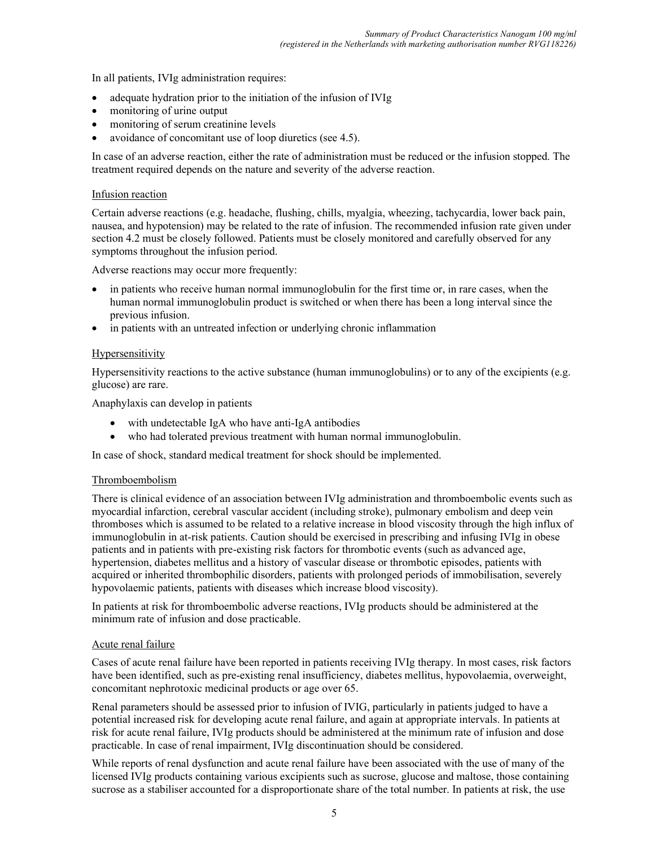In all patients, IVIg administration requires:

- adequate hydration prior to the initiation of the infusion of IVIg
- monitoring of urine output
- monitoring of serum creatinine levels
- avoidance of concomitant use of loop diuretics (see 4.5).

In case of an adverse reaction, either the rate of administration must be reduced or the infusion stopped. The treatment required depends on the nature and severity of the adverse reaction.

#### Infusion reaction

Certain adverse reactions (e.g. headache, flushing, chills, myalgia, wheezing, tachycardia, lower back pain, nausea, and hypotension) may be related to the rate of infusion. The recommended infusion rate given under section 4.2 must be closely followed. Patients must be closely monitored and carefully observed for any symptoms throughout the infusion period.

Adverse reactions may occur more frequently:

- in patients who receive human normal immunoglobulin for the first time or, in rare cases, when the human normal immunoglobulin product is switched or when there has been a long interval since the previous infusion.
- in patients with an untreated infection or underlying chronic inflammation

#### **Hypersensitivity**

Hypersensitivity reactions to the active substance (human immunoglobulins) or to any of the excipients (e.g. glucose) are rare.

Anaphylaxis can develop in patients

- with undetectable IgA who have anti-IgA antibodies
- who had tolerated previous treatment with human normal immunoglobulin.

In case of shock, standard medical treatment for shock should be implemented.

#### Thromboembolism

There is clinical evidence of an association between IVIg administration and thromboembolic events such as myocardial infarction, cerebral vascular accident (including stroke), pulmonary embolism and deep vein thromboses which is assumed to be related to a relative increase in blood viscosity through the high influx of immunoglobulin in at-risk patients. Caution should be exercised in prescribing and infusing IVIg in obese patients and in patients with pre-existing risk factors for thrombotic events (such as advanced age, hypertension, diabetes mellitus and a history of vascular disease or thrombotic episodes, patients with acquired or inherited thrombophilic disorders, patients with prolonged periods of immobilisation, severely hypovolaemic patients, patients with diseases which increase blood viscosity).

In patients at risk for thromboembolic adverse reactions, IVIg products should be administered at the minimum rate of infusion and dose practicable.

#### Acute renal failure

Cases of acute renal failure have been reported in patients receiving IVIg therapy. In most cases, risk factors have been identified, such as pre-existing renal insufficiency, diabetes mellitus, hypovolaemia, overweight, concomitant nephrotoxic medicinal products or age over 65.

Renal parameters should be assessed prior to infusion of IVIG, particularly in patients judged to have a potential increased risk for developing acute renal failure, and again at appropriate intervals. In patients at risk for acute renal failure, IVIg products should be administered at the minimum rate of infusion and dose practicable. In case of renal impairment, IVIg discontinuation should be considered.

While reports of renal dysfunction and acute renal failure have been associated with the use of many of the licensed IVIg products containing various excipients such as sucrose, glucose and maltose, those containing sucrose as a stabiliser accounted for a disproportionate share of the total number. In patients at risk, the use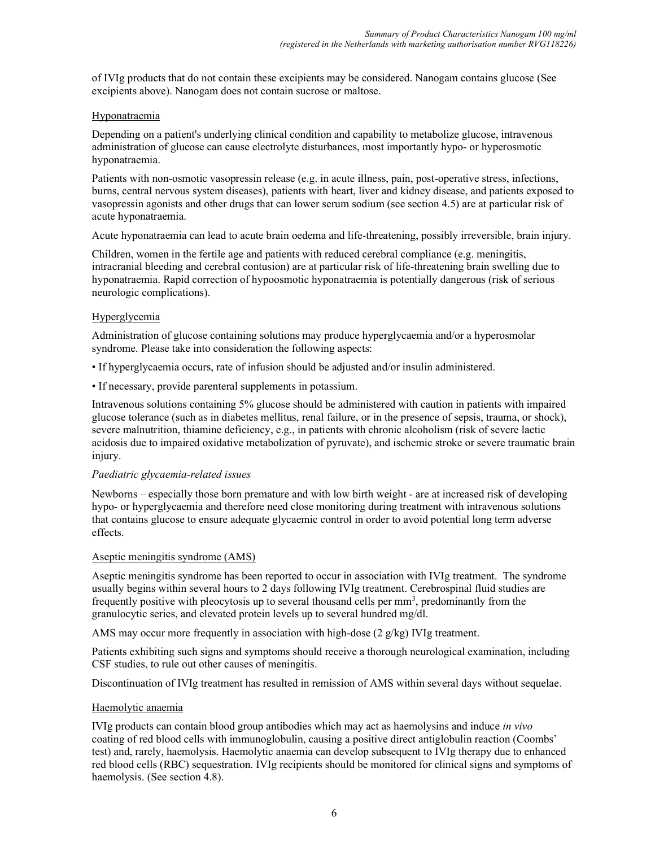of IVIg products that do not contain these excipients may be considered. Nanogam contains glucose (See excipients above). Nanogam does not contain sucrose or maltose.

### Hyponatraemia

Depending on a patient's underlying clinical condition and capability to metabolize glucose, intravenous administration of glucose can cause electrolyte disturbances, most importantly hypo- or hyperosmotic hyponatraemia.

Patients with non-osmotic vasopressin release (e.g. in acute illness, pain, post-operative stress, infections, burns, central nervous system diseases), patients with heart, liver and kidney disease, and patients exposed to vasopressin agonists and other drugs that can lower serum sodium (see section 4.5) are at particular risk of acute hyponatraemia.

Acute hyponatraemia can lead to acute brain oedema and life-threatening, possibly irreversible, brain injury.

Children, women in the fertile age and patients with reduced cerebral compliance (e.g. meningitis, intracranial bleeding and cerebral contusion) are at particular risk of life-threatening brain swelling due to hyponatraemia. Rapid correction of hypoosmotic hyponatraemia is potentially dangerous (risk of serious neurologic complications).

### **Hyperglycemia**

Administration of glucose containing solutions may produce hyperglycaemia and/or a hyperosmolar syndrome. Please take into consideration the following aspects:

- If hyperglycaemia occurs, rate of infusion should be adjusted and/or insulin administered.
- If necessary, provide parenteral supplements in potassium.

Intravenous solutions containing 5% glucose should be administered with caution in patients with impaired glucose tolerance (such as in diabetes mellitus, renal failure, or in the presence of sepsis, trauma, or shock), severe malnutrition, thiamine deficiency, e.g., in patients with chronic alcoholism (risk of severe lactic acidosis due to impaired oxidative metabolization of pyruvate), and ischemic stroke or severe traumatic brain injury.

#### Paediatric glycaemia-related issues

Newborns – especially those born premature and with low birth weight - are at increased risk of developing hypo- or hyperglycaemia and therefore need close monitoring during treatment with intravenous solutions that contains glucose to ensure adequate glycaemic control in order to avoid potential long term adverse effects.

#### Aseptic meningitis syndrome (AMS)

Aseptic meningitis syndrome has been reported to occur in association with IVIg treatment. The syndrome usually begins within several hours to 2 days following IVIg treatment. Cerebrospinal fluid studies are frequently positive with pleocytosis up to several thousand cells per mm<sup>3</sup>, predominantly from the granulocytic series, and elevated protein levels up to several hundred mg/dl.

AMS may occur more frequently in association with high-dose  $(2 \text{ g/kg})$  IVIg treatment.

Patients exhibiting such signs and symptoms should receive a thorough neurological examination, including CSF studies, to rule out other causes of meningitis.

Discontinuation of IVIg treatment has resulted in remission of AMS within several days without sequelae.

#### Haemolytic anaemia

IVIg products can contain blood group antibodies which may act as haemolysins and induce in vivo coating of red blood cells with immunoglobulin, causing a positive direct antiglobulin reaction (Coombs' test) and, rarely, haemolysis. Haemolytic anaemia can develop subsequent to IVIg therapy due to enhanced red blood cells (RBC) sequestration. IVIg recipients should be monitored for clinical signs and symptoms of haemolysis. (See section 4.8).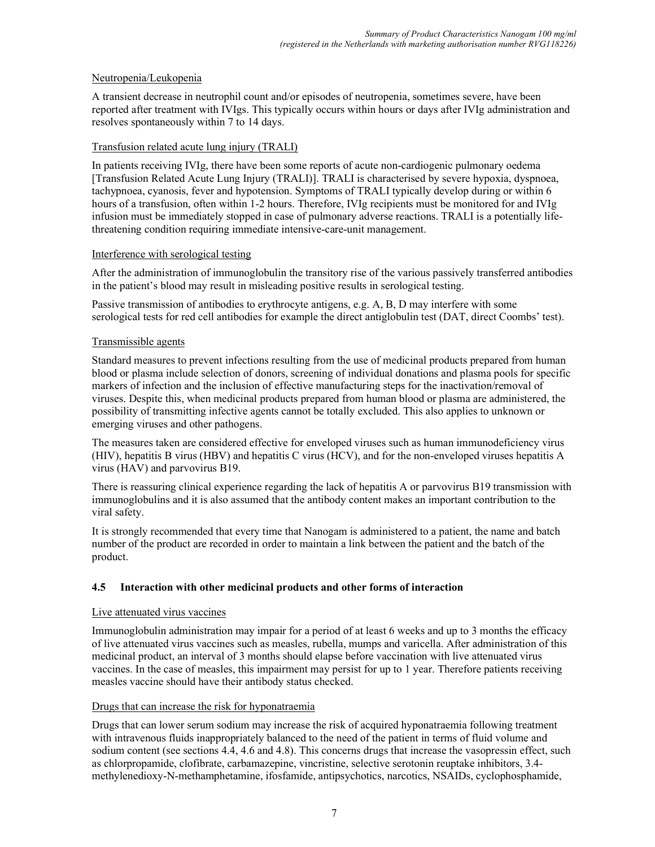# Neutropenia/Leukopenia

A transient decrease in neutrophil count and/or episodes of neutropenia, sometimes severe, have been reported after treatment with IVIgs. This typically occurs within hours or days after IVIg administration and resolves spontaneously within 7 to 14 days.

### Transfusion related acute lung injury (TRALI)

In patients receiving IVIg, there have been some reports of acute non-cardiogenic pulmonary oedema [Transfusion Related Acute Lung Injury (TRALI)]. TRALI is characterised by severe hypoxia, dyspnoea, tachypnoea, cyanosis, fever and hypotension. Symptoms of TRALI typically develop during or within 6 hours of a transfusion, often within 1-2 hours. Therefore, IVIg recipients must be monitored for and IVIg infusion must be immediately stopped in case of pulmonary adverse reactions. TRALI is a potentially lifethreatening condition requiring immediate intensive-care-unit management.

#### Interference with serological testing

After the administration of immunoglobulin the transitory rise of the various passively transferred antibodies in the patient's blood may result in misleading positive results in serological testing.

Passive transmission of antibodies to erythrocyte antigens, e.g. A, B, D may interfere with some serological tests for red cell antibodies for example the direct antiglobulin test (DAT, direct Coombs' test).

### Transmissible agents

Standard measures to prevent infections resulting from the use of medicinal products prepared from human blood or plasma include selection of donors, screening of individual donations and plasma pools for specific markers of infection and the inclusion of effective manufacturing steps for the inactivation/removal of viruses. Despite this, when medicinal products prepared from human blood or plasma are administered, the possibility of transmitting infective agents cannot be totally excluded. This also applies to unknown or emerging viruses and other pathogens.

The measures taken are considered effective for enveloped viruses such as human immunodeficiency virus (HIV), hepatitis B virus (HBV) and hepatitis C virus (HCV), and for the non-enveloped viruses hepatitis A virus (HAV) and parvovirus B19.

There is reassuring clinical experience regarding the lack of hepatitis A or parvovirus B19 transmission with immunoglobulins and it is also assumed that the antibody content makes an important contribution to the viral safety.

It is strongly recommended that every time that Nanogam is administered to a patient, the name and batch number of the product are recorded in order to maintain a link between the patient and the batch of the product.

# 4.5 Interaction with other medicinal products and other forms of interaction

#### Live attenuated virus vaccines

Immunoglobulin administration may impair for a period of at least 6 weeks and up to 3 months the efficacy of live attenuated virus vaccines such as measles, rubella, mumps and varicella. After administration of this medicinal product, an interval of 3 months should elapse before vaccination with live attenuated virus vaccines. In the case of measles, this impairment may persist for up to 1 year. Therefore patients receiving measles vaccine should have their antibody status checked.

# Drugs that can increase the risk for hyponatraemia

Drugs that can lower serum sodium may increase the risk of acquired hyponatraemia following treatment with intravenous fluids inappropriately balanced to the need of the patient in terms of fluid volume and sodium content (see sections 4.4, 4.6 and 4.8). This concerns drugs that increase the vasopressin effect, such as chlorpropamide, clofibrate, carbamazepine, vincristine, selective serotonin reuptake inhibitors, 3.4 methylenedioxy-N-methamphetamine, ifosfamide, antipsychotics, narcotics, NSAIDs, cyclophosphamide,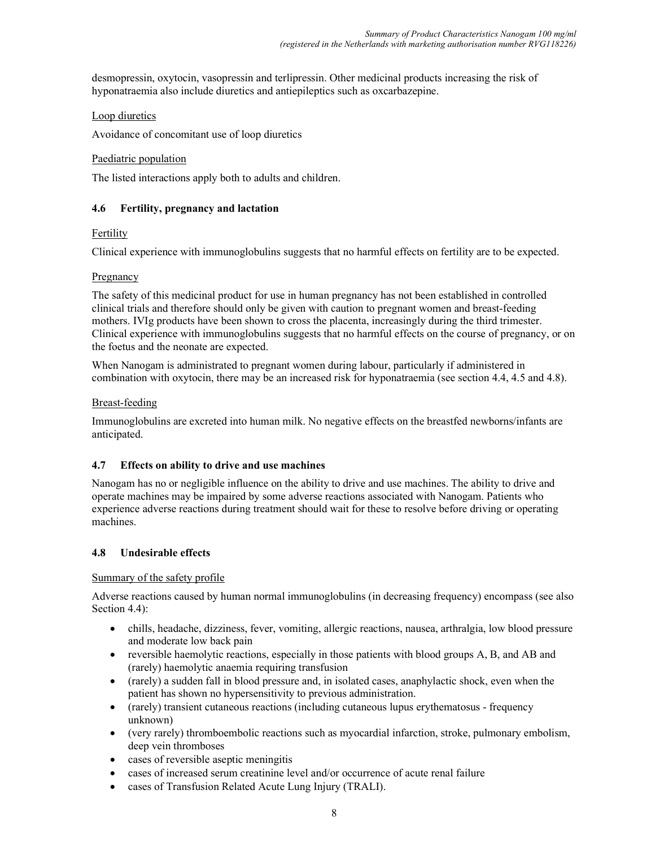desmopressin, oxytocin, vasopressin and terlipressin. Other medicinal products increasing the risk of hyponatraemia also include diuretics and antiepileptics such as oxcarbazepine.

### Loop diuretics

Avoidance of concomitant use of loop diuretics

### Paediatric population

The listed interactions apply both to adults and children.

### 4.6 Fertility, pregnancy and lactation

### Fertility

Clinical experience with immunoglobulins suggests that no harmful effects on fertility are to be expected.

### **Pregnancy**

The safety of this medicinal product for use in human pregnancy has not been established in controlled clinical trials and therefore should only be given with caution to pregnant women and breast-feeding mothers. IVIg products have been shown to cross the placenta, increasingly during the third trimester. Clinical experience with immunoglobulins suggests that no harmful effects on the course of pregnancy, or on the foetus and the neonate are expected.

When Nanogam is administrated to pregnant women during labour, particularly if administered in combination with oxytocin, there may be an increased risk for hyponatraemia (see section 4.4, 4.5 and 4.8).

### Breast-feeding

Immunoglobulins are excreted into human milk. No negative effects on the breastfed newborns/infants are anticipated.

# 4.7 Effects on ability to drive and use machines

Nanogam has no or negligible influence on the ability to drive and use machines. The ability to drive and operate machines may be impaired by some adverse reactions associated with Nanogam. Patients who experience adverse reactions during treatment should wait for these to resolve before driving or operating machines.

# 4.8 Undesirable effects

#### Summary of the safety profile

Adverse reactions caused by human normal immunoglobulins (in decreasing frequency) encompass (see also Section 4.4):

- chills, headache, dizziness, fever, vomiting, allergic reactions, nausea, arthralgia, low blood pressure and moderate low back pain
- reversible haemolytic reactions, especially in those patients with blood groups A, B, and AB and (rarely) haemolytic anaemia requiring transfusion
- (rarely) a sudden fall in blood pressure and, in isolated cases, anaphylactic shock, even when the patient has shown no hypersensitivity to previous administration.
- (rarely) transient cutaneous reactions (including cutaneous lupus erythematosus frequency unknown)
- (very rarely) thromboembolic reactions such as myocardial infarction, stroke, pulmonary embolism, deep vein thromboses
- cases of reversible aseptic meningitis
- cases of increased serum creatinine level and/or occurrence of acute renal failure
- cases of Transfusion Related Acute Lung Injury (TRALI).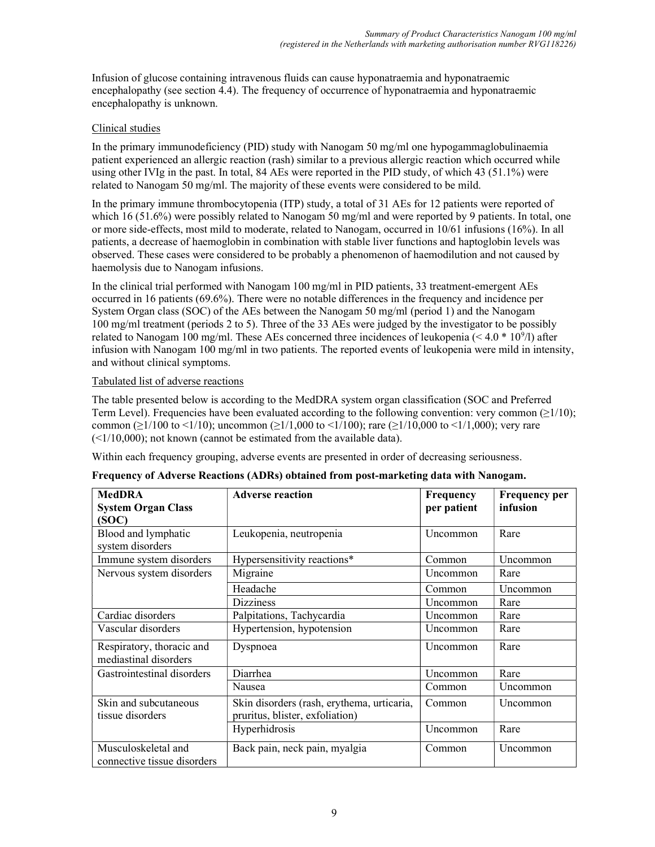Infusion of glucose containing intravenous fluids can cause hyponatraemia and hyponatraemic encephalopathy (see section 4.4). The frequency of occurrence of hyponatraemia and hyponatraemic encephalopathy is unknown.

### Clinical studies

In the primary immunodeficiency (PID) study with Nanogam 50 mg/ml one hypogammaglobulinaemia patient experienced an allergic reaction (rash) similar to a previous allergic reaction which occurred while using other IVIg in the past. In total, 84 AEs were reported in the PID study, of which 43 (51.1%) were related to Nanogam 50 mg/ml. The majority of these events were considered to be mild.

In the primary immune thrombocytopenia (ITP) study, a total of 31 AEs for 12 patients were reported of which 16 (51.6%) were possibly related to Nanogam 50 mg/ml and were reported by 9 patients. In total, one or more side-effects, most mild to moderate, related to Nanogam, occurred in 10/61 infusions (16%). In all patients, a decrease of haemoglobin in combination with stable liver functions and haptoglobin levels was observed. These cases were considered to be probably a phenomenon of haemodilution and not caused by haemolysis due to Nanogam infusions.

In the clinical trial performed with Nanogam 100 mg/ml in PID patients, 33 treatment-emergent AEs occurred in 16 patients (69.6%). There were no notable differences in the frequency and incidence per System Organ class (SOC) of the AEs between the Nanogam 50 mg/ml (period 1) and the Nanogam 100 mg/ml treatment (periods 2 to 5). Three of the 33 AEs were judged by the investigator to be possibly related to Nanogam 100 mg/ml. These AEs concerned three incidences of leukopenia ( $\leq 4.0 * 10^9/1$ ) after infusion with Nanogam 100 mg/ml in two patients. The reported events of leukopenia were mild in intensity, and without clinical symptoms.

### Tabulated list of adverse reactions

The table presented below is according to the MedDRA system organ classification (SOC and Preferred Term Level). Frequencies have been evaluated according to the following convention: very common  $(\geq 1/10)$ ; common ( $\geq$ 1/100 to <1/10); uncommon ( $\geq$ 1/1,000 to <1/100); rare ( $\geq$ 1/10,000 to <1/1,000); very rare  $(\leq 1/10,000)$ ; not known (cannot be estimated from the available data).

Within each frequency grouping, adverse events are presented in order of decreasing seriousness.

| <b>MedDRA</b>                                      | <b>Adverse reaction</b>                    | <b>Frequency</b> | <b>Frequency per</b> |
|----------------------------------------------------|--------------------------------------------|------------------|----------------------|
| <b>System Organ Class</b>                          |                                            | per patient      | infusion             |
| (SOC)                                              |                                            |                  |                      |
| Blood and lymphatic                                | Leukopenia, neutropenia                    | Uncommon         | Rare                 |
| system disorders                                   |                                            |                  |                      |
| Immune system disorders                            | Hypersensitivity reactions*                | Common           | Uncommon             |
| Nervous system disorders                           | Migraine                                   | <b>Uncommon</b>  | Rare                 |
|                                                    | Headache                                   | Common           | Uncommon             |
|                                                    | <b>Dizziness</b>                           | Uncommon         | Rare                 |
| Cardiac disorders                                  | Palpitations, Tachycardia                  | Uncommon         | Rare                 |
| Vascular disorders                                 | Hypertension, hypotension                  | <b>Uncommon</b>  | Rare                 |
| Respiratory, thoracic and                          | Dyspnoea                                   | Uncommon         | Rare                 |
| mediastinal disorders                              |                                            |                  |                      |
| Gastrointestinal disorders                         | Diarrhea                                   | Uncommon         | Rare                 |
|                                                    | Nausea                                     | Common           | Uncommon             |
| Skin and subcutaneous                              | Skin disorders (rash, erythema, urticaria, | Common           | Uncommon             |
| tissue disorders                                   | pruritus, blister, exfoliation)            |                  |                      |
|                                                    | Hyperhidrosis                              | Uncommon         | Rare                 |
| Musculoskeletal and<br>connective tissue disorders | Back pain, neck pain, myalgia              | Common           | Uncommon             |

| Frequency of Adverse Reactions (ADRs) obtained from post-marketing data with Nanogam. |  |
|---------------------------------------------------------------------------------------|--|
|---------------------------------------------------------------------------------------|--|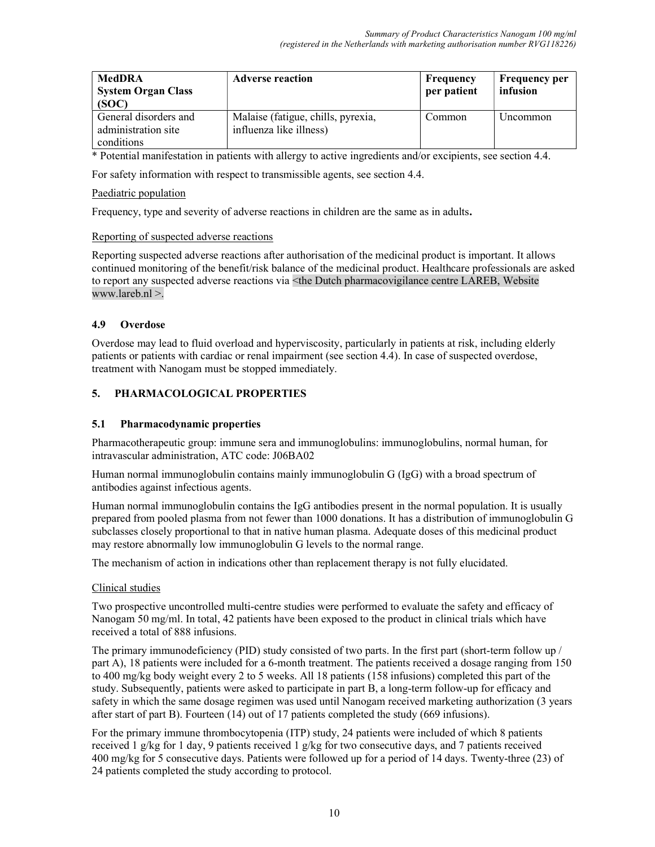| <b>MedDRA</b><br><b>System Organ Class</b><br>(SOC) | <b>Adverse reaction</b>                                       | Frequency<br>per patient | <b>Frequency per</b><br>infusion |
|-----------------------------------------------------|---------------------------------------------------------------|--------------------------|----------------------------------|
| General disorders and<br>administration site        | Malaise (fatigue, chills, pyrexia,<br>influenza like illness) | Common                   | Uncommon                         |
| conditions                                          |                                                               |                          |                                  |

\* Potential manifestation in patients with allergy to active ingredients and/or excipients, see section 4.4.

For safety information with respect to transmissible agents, see section 4.4.

#### Paediatric population

Frequency, type and severity of adverse reactions in children are the same as in adults.

### Reporting of suspected adverse reactions

Reporting suspected adverse reactions after authorisation of the medicinal product is important. It allows continued monitoring of the benefit/risk balance of the medicinal product. Healthcare professionals are asked to report any suspected adverse reactions via <the Dutch pharmacovigilance centre LAREB, Website www.lareb.nl >.

# 4.9 Overdose

Overdose may lead to fluid overload and hyperviscosity, particularly in patients at risk, including elderly patients or patients with cardiac or renal impairment (see section 4.4). In case of suspected overdose, treatment with Nanogam must be stopped immediately.

# 5. PHARMACOLOGICAL PROPERTIES

# 5.1 Pharmacodynamic properties

Pharmacotherapeutic group: immune sera and immunoglobulins: immunoglobulins, normal human, for intravascular administration, ATC code: J06BA02

Human normal immunoglobulin contains mainly immunoglobulin G (IgG) with a broad spectrum of antibodies against infectious agents.

Human normal immunoglobulin contains the IgG antibodies present in the normal population. It is usually prepared from pooled plasma from not fewer than 1000 donations. It has a distribution of immunoglobulin G subclasses closely proportional to that in native human plasma. Adequate doses of this medicinal product may restore abnormally low immunoglobulin G levels to the normal range.

The mechanism of action in indications other than replacement therapy is not fully elucidated.

# Clinical studies

Two prospective uncontrolled multi-centre studies were performed to evaluate the safety and efficacy of Nanogam 50 mg/ml. In total, 42 patients have been exposed to the product in clinical trials which have received a total of 888 infusions.

The primary immunodeficiency (PID) study consisted of two parts. In the first part (short-term follow up / part A), 18 patients were included for a 6-month treatment. The patients received a dosage ranging from 150 to 400 mg/kg body weight every 2 to 5 weeks. All 18 patients (158 infusions) completed this part of the study. Subsequently, patients were asked to participate in part B, a long-term follow-up for efficacy and safety in which the same dosage regimen was used until Nanogam received marketing authorization (3 years after start of part B). Fourteen (14) out of 17 patients completed the study (669 infusions).

For the primary immune thrombocytopenia (ITP) study, 24 patients were included of which 8 patients received 1 g/kg for 1 day, 9 patients received 1 g/kg for two consecutive days, and 7 patients received 400 mg/kg for 5 consecutive days. Patients were followed up for a period of 14 days. Twenty-three (23) of 24 patients completed the study according to protocol.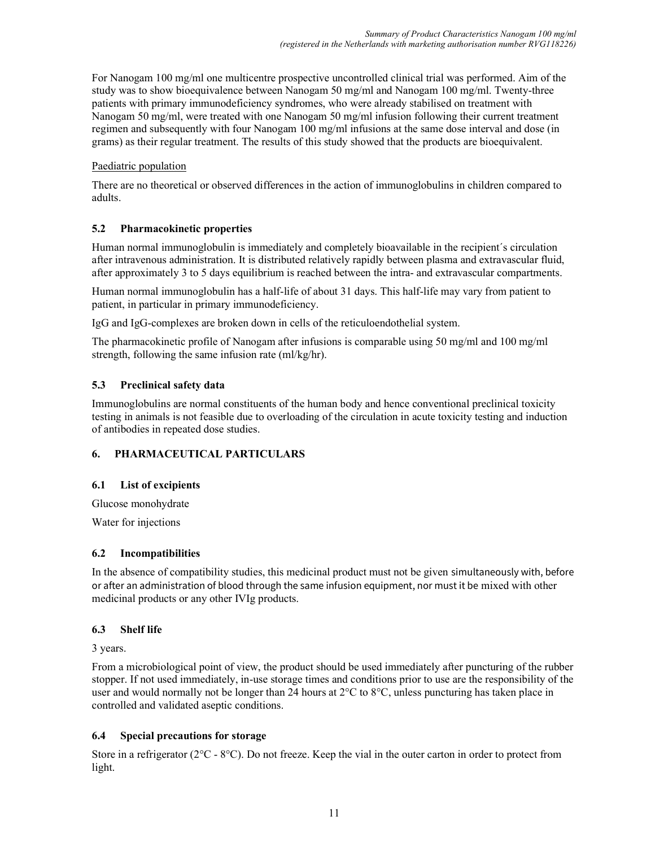For Nanogam 100 mg/ml one multicentre prospective uncontrolled clinical trial was performed. Aim of the study was to show bioequivalence between Nanogam 50 mg/ml and Nanogam 100 mg/ml. Twenty-three patients with primary immunodeficiency syndromes, who were already stabilised on treatment with Nanogam 50 mg/ml, were treated with one Nanogam 50 mg/ml infusion following their current treatment regimen and subsequently with four Nanogam 100 mg/ml infusions at the same dose interval and dose (in grams) as their regular treatment. The results of this study showed that the products are bioequivalent.

### Paediatric population

There are no theoretical or observed differences in the action of immunoglobulins in children compared to adults.

### 5.2 Pharmacokinetic properties

Human normal immunoglobulin is immediately and completely bioavailable in the recipient´s circulation after intravenous administration. It is distributed relatively rapidly between plasma and extravascular fluid, after approximately 3 to 5 days equilibrium is reached between the intra- and extravascular compartments.

Human normal immunoglobulin has a half-life of about 31 days. This half-life may vary from patient to patient, in particular in primary immunodeficiency.

IgG and IgG-complexes are broken down in cells of the reticuloendothelial system.

The pharmacokinetic profile of Nanogam after infusions is comparable using 50 mg/ml and 100 mg/ml strength, following the same infusion rate (ml/kg/hr).

# 5.3 Preclinical safety data

Immunoglobulins are normal constituents of the human body and hence conventional preclinical toxicity testing in animals is not feasible due to overloading of the circulation in acute toxicity testing and induction of antibodies in repeated dose studies.

# 6. PHARMACEUTICAL PARTICULARS

# 6.1 List of excipients

Glucose monohydrate

Water for injections

#### 6.2 Incompatibilities

In the absence of compatibility studies, this medicinal product must not be given simultaneously with, before or after an administration of blood through the same infusion equipment, nor must it be mixed with other medicinal products or any other IVIg products.

# 6.3 Shelf life

3 years.

From a microbiological point of view, the product should be used immediately after puncturing of the rubber stopper. If not used immediately, in-use storage times and conditions prior to use are the responsibility of the user and would normally not be longer than 24 hours at 2°C to 8°C, unless puncturing has taken place in controlled and validated aseptic conditions.

# 6.4 Special precautions for storage

Store in a refrigerator ( $2^{\circ}C$  -  $8^{\circ}C$ ). Do not freeze. Keep the vial in the outer carton in order to protect from light.